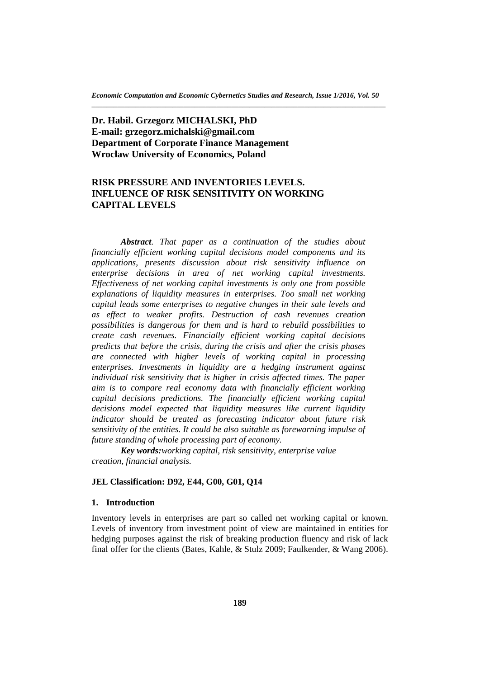# **Dr. Habil. Grzegorz MICHALSKI, PhD E-mail: grzegorz.michalski@gmail.com Department of Corporate Finance Management Wroclaw University of Economics, Poland**

# **RISK PRESSURE AND INVENTORIES LEVELS. INFLUENCE OF RISK SENSITIVITY ON WORKING CAPITAL LEVELS**

*Abstract. That paper as a continuation of the studies about financially efficient working capital decisions model components and its applications, presents discussion about risk sensitivity influence on enterprise decisions in area of net working capital investments. Effectiveness of net working capital investments is only one from possible explanations of liquidity measures in enterprises. Too small net working capital leads some enterprises to negative changes in their sale levels and as effect to weaker profits. Destruction of cash revenues creation possibilities is dangerous for them and is hard to rebuild possibilities to create cash revenues. Financially efficient working capital decisions predicts that before the crisis, during the crisis and after the crisis phases are connected with higher levels of working capital in processing enterprises. Investments in liquidity are a hedging instrument against individual risk sensitivity that is higher in crisis affected times. The paper aim is to compare real economy data with financially efficient working capital decisions predictions. The financially efficient working capital decisions model expected that liquidity measures like current liquidity indicator should be treated as forecasting indicator about future risk sensitivity of the entities. It could be also suitable as forewarning impulse of future standing of whole processing part of economy.*

*Key words:working capital, risk sensitivity, enterprise value creation, financial analysis.* 

## **JEL Classification: D92, E44, G00, G01, Q14**

#### **1. Introduction**

Inventory levels in enterprises are part so called net working capital or known. Levels of inventory from investment point of view are maintained in entities for hedging purposes against the risk of breaking production fluency and risk of lack final offer for the clients (Bates, Kahle, & Stulz 2009; Faulkender, & Wang 2006).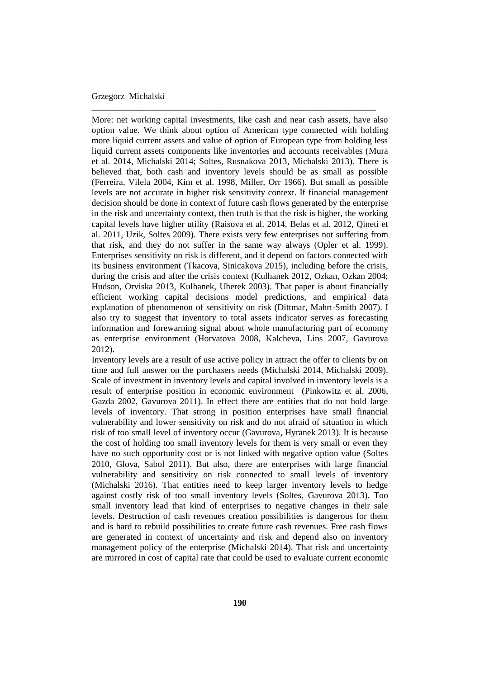More: net working capital investments, like cash and near cash assets, have also option value. We think about option of American type connected with holding more liquid current assets and value of option of European type from holding less liquid current assets components like inventories and accounts receivables (Mura et al. 2014, Michalski 2014; Soltes, Rusnakova 2013, Michalski 2013). There is believed that, both cash and inventory levels should be as small as possible (Ferreira, Vilela 2004, Kim et al. 1998, Miller, Orr 1966). But small as possible levels are not accurate in higher risk sensitivity context. If financial management decision should be done in context of future cash flows generated by the enterprise in the risk and uncertainty context, then truth is that the risk is higher, the working capital levels have higher utility (Raisova et al. 2014, Belas et al. 2012, Qineti et al. 2011, Uzik, Soltes 2009). There exists very few enterprises not suffering from that risk, and they do not suffer in the same way always (Opler et al. 1999). Enterprises sensitivity on risk is different, and it depend on factors connected with its business environment (Tkacova, Sinicakova 2015), including before the crisis, during the crisis and after the crisis context (Kulhanek 2012, Ozkan, Ozkan 2004; Hudson, Orviska 2013, Kulhanek, Uherek 2003). That paper is about financially efficient working capital decisions model predictions, and empirical data explanation of phenomenon of sensitivity on risk (Dittmar, Mahrt-Smith 2007). I also try to suggest that inventory to total assets indicator serves as forecasting information and forewarning signal about whole manufacturing part of economy as enterprise environment (Horvatova 2008, Kalcheva, Lins 2007, Gavurova 2012).

\_\_\_\_\_\_\_\_\_\_\_\_\_\_\_\_\_\_\_\_\_\_\_\_\_\_\_\_\_\_\_\_\_\_\_\_\_\_\_\_\_\_\_\_\_\_\_\_\_\_\_\_\_\_\_\_\_\_\_\_\_\_\_\_

Inventory levels are a result of use active policy in attract the offer to clients by on time and full answer on the purchasers needs (Michalski 2014, Michalski 2009). Scale of investment in inventory levels and capital involved in inventory levels is a result of enterprise position in economic environment (Pinkowitz et al. 2006, Gazda 2002, Gavurova 2011). In effect there are entities that do not hold large levels of inventory. That strong in position enterprises have small financial vulnerability and lower sensitivity on risk and do not afraid of situation in which risk of too small level of inventory occur (Gavurova, Hyranek 2013). It is because the cost of holding too small inventory levels for them is very small or even they have no such opportunity cost or is not linked with negative option value (Soltes 2010, Glova, Sabol 2011). But also, there are enterprises with large financial vulnerability and sensitivity on risk connected to small levels of inventory (Michalski 2016). That entities need to keep larger inventory levels to hedge against costly risk of too small inventory levels (Soltes, Gavurova 2013). Too small inventory lead that kind of enterprises to negative changes in their sale levels. Destruction of cash revenues creation possibilities is dangerous for them and is hard to rebuild possibilities to create future cash revenues. Free cash flows are generated in context of uncertainty and risk and depend also on inventory management policy of the enterprise (Michalski 2014). That risk and uncertainty are mirrored in cost of capital rate that could be used to evaluate current economic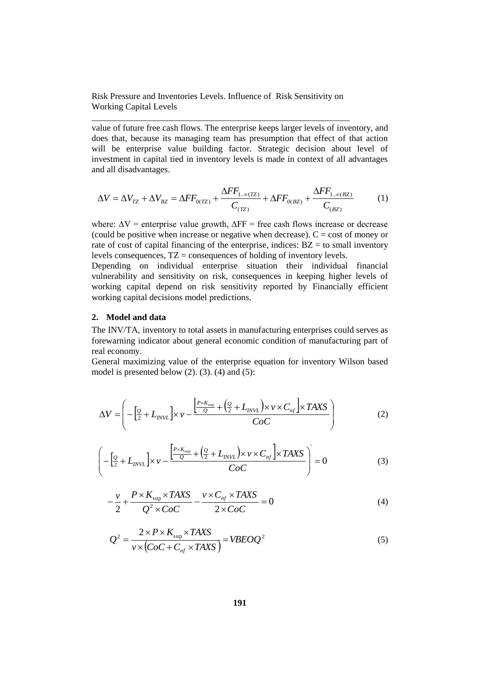Risk Pressure and Inventories Levels. Influence of Risk Sensitivity on Working Capital Levels

\_\_\_\_\_\_\_\_\_\_\_\_\_\_\_\_\_\_\_\_\_\_\_\_\_\_\_\_\_\_\_\_\_\_\_\_\_\_\_\_\_\_\_\_\_\_\_\_\_\_\_\_\_\_\_\_\_\_

value of future free cash flows. The enterprise keeps larger levels of inventory, and does that, because its managing team has presumption that effect of that action will be enterprise value building factor. Strategic decision about level of investment in capital tied in inventory levels is made in context of all advantages and all disadvantages.

$$
\Delta V = \Delta V_{TZ} + \Delta V_{BZ} = \Delta FF_{0(ZZ)} + \frac{\Delta FF_{1..\infty(ZZ)}}{C_{(TZ)}} + \Delta FF_{0(BZ)} + \frac{\Delta FF_{1..\infty(BZ)}}{C_{(BZ)}}
$$
(1)

where:  $\Delta V$  = enterprise value growth,  $\Delta FF$  = free cash flows increase or decrease (could be positive when increase or negative when decrease).  $C = \text{cost of money or}$ rate of cost of capital financing of the enterprise, indices:  $BZ =$  to small inventory levels consequences,  $TZ =$  consequences of holding of inventory levels.

Depending on individual enterprise situation their individual financial vulnerability and sensitivity on risk, consequences in keeping higher levels of working capital depend on risk sensitivity reported by Financially efficient working capital decisions model predictions.

### **2. Model and data**

The INV/TA, inventory to total assets in manufacturing enterprises could serves as forewarning indicator about general economic condition of manufacturing part of real economy.

General maximizing value of the enterprise equation for inventory Wilson based model is presented below  $(2)$ .  $(3)$ .  $(4)$  and  $(5)$ :

$$
\Delta V = \left( -\left[\frac{\varrho}{2} + L_{\text{INV}L} \right] \times \nu - \frac{\left[\frac{P \times K_{\text{sup}}}{Q} + \left(\frac{\varrho}{2} + L_{\text{INV}L}\right) \times \nu \times C_{\text{nf}}\right] \times TAXS}{CoC} \right) \tag{2}
$$

$$
\left(-\left[\frac{\varrho}{2} + L_{\text{INVL}}\right] \times \nu - \frac{\left[\frac{P \times K_{\text{sup}}}{Q} + \left(\frac{\varrho}{2} + L_{\text{INVL}}\right) \times \nu \times C_{\text{nf}}\right] \times TANS}{CoC}\right) = 0
$$
\n(3)

$$
-\frac{v}{2} + \frac{P \times K_{\text{sup}} \times TAXS}{Q^2 \times CoC} - \frac{v \times C_{nf} \times TAXS}{2 \times CoC} = 0
$$
\n(4)

$$
Q^{2} = \frac{2 \times P \times K_{\text{sup}} \times TAXS}{v \times (CoC + C_{nf} \times TAXS)} = VBEOQ^{2}
$$
\n(5)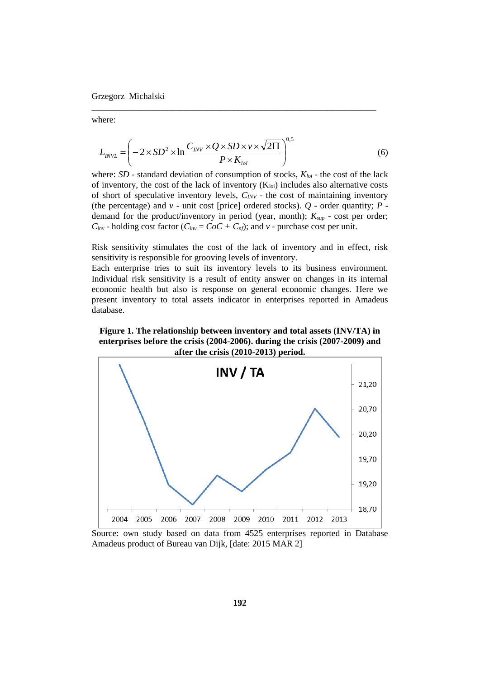where:

$$
L_{\text{INV}L} = \left(-2 \times SD^2 \times \ln \frac{C_{\text{INV}} \times Q \times SD \times \nu \times \sqrt{2\Pi}}{P \times K_{\text{loi}}}\right)^{0.5}
$$
(6)

\_\_\_\_\_\_\_\_\_\_\_\_\_\_\_\_\_\_\_\_\_\_\_\_\_\_\_\_\_\_\_\_\_\_\_\_\_\_\_\_\_\_\_\_\_\_\_\_\_\_\_\_\_\_\_\_\_\_\_\_\_\_\_\_

where: *SD* - standard deviation of consumption of stocks,  $K_{\text{loi}}$  - the cost of the lack of inventory, the cost of the lack of inventory  $(K_{\text{loi}})$  includes also alternative costs of short of speculative inventory levels, *CINV* - the cost of maintaining inventory (the percentage) and *v* - unit cost [price] ordered stocks). *Q* - order quantity; *P* demand for the product/inventory in period (year, month); *Ksup* - cost per order;  $C_{inv}$  - holding cost factor ( $C_{inv} = CoC + C_{nf}$ ); and *v* - purchase cost per unit.

Risk sensitivity stimulates the cost of the lack of inventory and in effect, risk sensitivity is responsible for grooving levels of inventory.

Each enterprise tries to suit its inventory levels to its business environment. Individual risk sensitivity is a result of entity answer on changes in its internal economic health but also is response on general economic changes. Here we present inventory to total assets indicator in enterprises reported in Amadeus database.

**Figure 1. The relationship between inventory and total assets (INV/TA) in enterprises before the crisis (2004-2006). during the crisis (2007-2009) and after the crisis (2010-2013) period.**



Source: own study based on data from 4525 enterprises reported in Database Amadeus product of Bureau van Dijk, [date: 2015 MAR 2]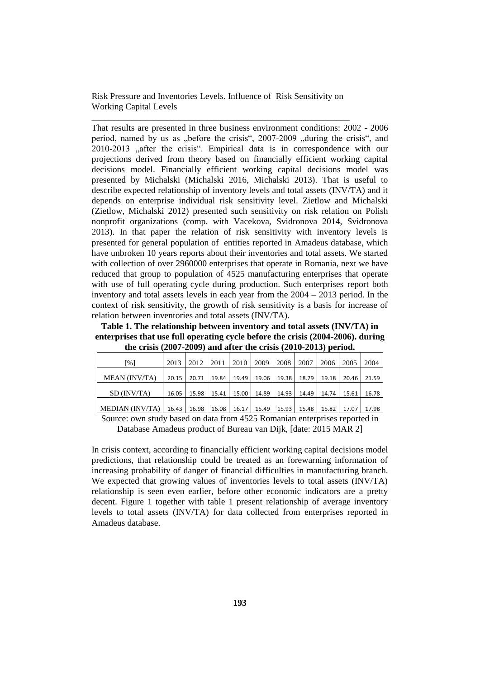Risk Pressure and Inventories Levels. Influence of Risk Sensitivity on Working Capital Levels

\_\_\_\_\_\_\_\_\_\_\_\_\_\_\_\_\_\_\_\_\_\_\_\_\_\_\_\_\_\_\_\_\_\_\_\_\_\_\_\_\_\_\_\_\_\_\_\_\_\_\_\_\_\_\_\_\_\_

That results are presented in three business environment conditions: 2002 - 2006 period, named by us as "before the crisis", 2007-2009 "during the crisis", and 2010-2013 "after the crisis". Empirical data is in correspondence with our projections derived from theory based on financially efficient working capital decisions model. Financially efficient working capital decisions model was presented by Michalski (Michalski 2016, Michalski 2013). That is useful to describe expected relationship of inventory levels and total assets (INV/TA) and it depends on enterprise individual risk sensitivity level. Zietlow and Michalski (Zietlow, Michalski 2012) presented such sensitivity on risk relation on Polish nonprofit organizations (comp. with Vacekova, Svidronova 2014, Svidronova 2013). In that paper the relation of risk sensitivity with inventory levels is presented for general population of entities reported in Amadeus database, which have unbroken 10 years reports about their inventories and total assets. We started with collection of over 2960000 enterprises that operate in Romania, next we have reduced that group to population of 4525 manufacturing enterprises that operate with use of full operating cycle during production. Such enterprises report both inventory and total assets levels in each year from the 2004 – 2013 period. In the context of risk sensitivity, the growth of risk sensitivity is a basis for increase of relation between inventories and total assets (INV/TA).

**Table 1. The relationship between inventory and total assets (INV/TA) in enterprises that use full operating cycle before the crisis (2004-2006). during the crisis (2007-2009) and after the crisis (2010-2013) period.**

| $\lceil \frac{9}{6} \rceil$   |       |  | 2013   2012   2011   2010   2009 |  |                                                       | 2008 | 2007 | 2006 | 2005                                                                          | 2004  |
|-------------------------------|-------|--|----------------------------------|--|-------------------------------------------------------|------|------|------|-------------------------------------------------------------------------------|-------|
| <b>MEAN</b> (INV/TA)          |       |  |                                  |  |                                                       |      |      |      | 20.15   20.71   19.84   19.49   19.06   19.38   18.79   19.18   20.46   21.59 |       |
| SD (INV/TA)                   | 16.05 |  |                                  |  | 15.98   15.41   15.00   14.89   14.93   14.49   14.74 |      |      |      | 15.61                                                                         | 16.78 |
| $MEDIAN (INV/TA)$ 16.43 16.98 |       |  |                                  |  |                                                       |      |      |      | 16.08   16.17   15.49   15.93   15.48   15.82   17.07                         | 17.98 |

Source: own study based on data from 4525 Romanian enterprises reported in

Database Amadeus product of Bureau van Dijk, [date: 2015 MAR 2]

In crisis context, according to financially efficient working capital decisions model predictions, that relationship could be treated as an forewarning information of increasing probability of danger of financial difficulties in manufacturing branch. We expected that growing values of inventories levels to total assets (INV/TA) relationship is seen even earlier, before other economic indicators are a pretty decent. Figure 1 together with table 1 present relationship of average inventory levels to total assets (INV/TA) for data collected from enterprises reported in Amadeus database.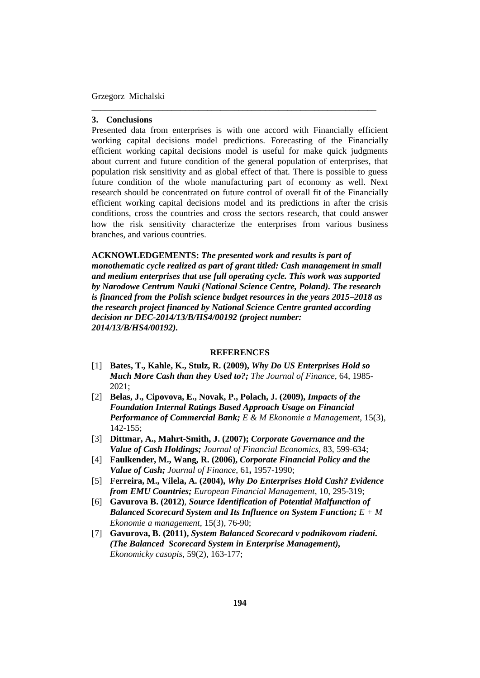#### **3. Conclusions**

Presented data from enterprises is with one accord with Financially efficient working capital decisions model predictions. Forecasting of the Financially efficient working capital decisions model is useful for make quick judgments about current and future condition of the general population of enterprises, that population risk sensitivity and as global effect of that. There is possible to guess future condition of the whole manufacturing part of economy as well. Next research should be concentrated on future control of overall fit of the Financially efficient working capital decisions model and its predictions in after the crisis conditions, cross the countries and cross the sectors research, that could answer how the risk sensitivity characterize the enterprises from various business branches, and various countries.

\_\_\_\_\_\_\_\_\_\_\_\_\_\_\_\_\_\_\_\_\_\_\_\_\_\_\_\_\_\_\_\_\_\_\_\_\_\_\_\_\_\_\_\_\_\_\_\_\_\_\_\_\_\_\_\_\_\_\_\_\_\_\_\_

**ACKNOWLEDGEMENTS:** *The presented work and results is part of monothematic cycle realized as part of grant titled: Cash management in small and medium enterprises that use full operating cycle. This work was supported by Narodowe Centrum Nauki (National Science Centre, Poland). The research is financed from the Polish science budget resources in the years 2015–2018 as the research project financed by National Science Centre granted according decision nr DEC-2014/13/B/HS4/00192 (project number: 2014/13/B/HS4/00192).*

#### **REFERENCES**

- [1] **Bates, T., Kahle, K., Stulz, R. (2009),** *Why Do US Enterprises Hold so Much More Cash than they Used to?; The Journal of Finance*, 64, 1985- 2021;
- [2] **Belas, J., Cipovova, E., Novak, P., Polach, J. (2009),** *Impacts of the Foundation Internal Ratings Based Approach Usage on Financial Performance of Commercial Bank; E & M Ekonomie a Management*, 15(3), 142-155;
- [3] **Dittmar, A., Mahrt-Smith, J. (2007);** *Corporate Governance and the Value of Cash Holdings; Journal of Financial Economics*, 83, 599-634;
- [4] **Faulkender, M., Wang, R. (2006),** *Corporate Financial Policy and the Value of Cash; Journal of Finance*, 61**,** 1957-1990;
- [5] **Ferreira, M., Vilela, A. (2004),** *Why Do Enterprises Hold Cash? Evidence from EMU Countries; European Financial Management*, 10, 295-319;
- [6] **Gavurova B. (2012)***, Source Identification of Potential Malfunction of Balanced Scorecard System and Its Influence on System Function; E + M Ekonomie a management*, 15(3), 76-90;
- [7] **Gavurova, B. (2011),** *System Balanced Scorecard v podnikovom riadení. (The Balanced Scorecard System in Enterprise Management), Ekonomicky casopis*, 59(2), 163-177;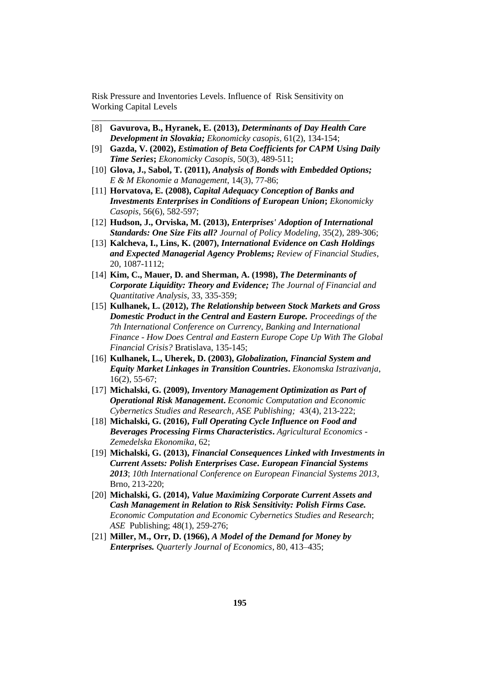Risk Pressure and Inventories Levels. Influence of Risk Sensitivity on Working Capital Levels

\_\_\_\_\_\_\_\_\_\_\_\_\_\_\_\_\_\_\_\_\_\_\_\_\_\_\_\_\_\_\_\_\_\_\_\_\_\_\_\_\_\_\_\_\_\_\_\_\_\_\_\_\_\_\_\_\_\_

- [8] **Gavurova, B., Hyranek, E. (2013),** *Determinants of Day Health Care Development in Slovakia; Ekonomicky casopis,* 61(2), 134-154;
- [9] **Gazda, V. (2002),** *Estimation of Beta Coefficients for CAPM Using Daily Time Series***;** *Ekonomicky Casopis*, 50(3), 489-511;
- [10] **Glova, J., Sabol, T. (2011),** *Analysis of Bonds with Embedded Options; E & M Ekonomie a Management*, 14(3), 77-86;
- [11] **Horvatova, E. (2008),** *Capital Adequacy Conception of Banks and Investments Enterprises in Conditions of European Union***;** *Ekonomicky Casopis*, 56(6), 582-597;
- [12] **Hudson, J., Orviska, M. (2013),** *Enterprises' Adoption of International Standards: One Size Fits all? Journal of Policy Modeling*, 35(2), 289-306;
- [13] **Kalcheva, I., Lins, K. (2007),** *International Evidence on Cash Holdings and Expected Managerial Agency Problems; Review of Financial Studies*, 20, 1087-1112;
- [14] **Kim, C., Mauer, D. and Sherman, A. (1998),** *The Determinants of Corporate Liquidity: Theory and Evidence; The Journal of Financial and Quantitative Analysis*, 33, 335-359;
- [15] **Kulhanek, L. (2012),** *The Relationship between Stock Markets and Gross Domestic Product in the Central and Eastern Europe. Proceedings of the 7th International Conference on Currency, Banking and International Finance - How Does Central and Eastern Europe Cope Up With The Global Financial Crisis?* Bratislava, 135-145;
- [16] **Kulhanek, L., Uherek, D. (2003),** *Globalization, Financial System and Equity Market Linkages in Transition Countries***.** *Ekonomska Istrazivanja*, 16(2), 55-67;
- [17] **Michalski, G. (2009),** *Inventory Management Optimization as Part of Operational Risk Management***.** *Economic Computation and Economic Cybernetics Studies and Research*, *ASE Publishing;* 43(4), 213-222;
- [18] **Michalski, G. (2016),** *Full Operating Cycle Influence on Food and Beverages Processing Firms Characteristics***.** *Agricultural Economics - Zemedelska Ekonomika*, 62;
- [19] **Michalski, G. (2013),** *Financial Consequences Linked with Investments in Current Assets: Polish Enterprises Case***.** *European Financial Systems 2013*; *10th International Conference on European Financial Systems 2013*, Brno, 213-220;
- [20] **Michalski, G. (2014),** *Value Maximizing Corporate Current Assets and Cash Management in Relation to Risk Sensitivity: Polish Firms Case. Economic Computation and Economic Cybernetics Studies and Research*; *ASE* Publishing; 48(1), 259-276;
- [21] **Miller, M., Orr, D. (1966),** *A Model of the Demand for Money by Enterprises. Quarterly Journal of Economics*, 80, 413–435;